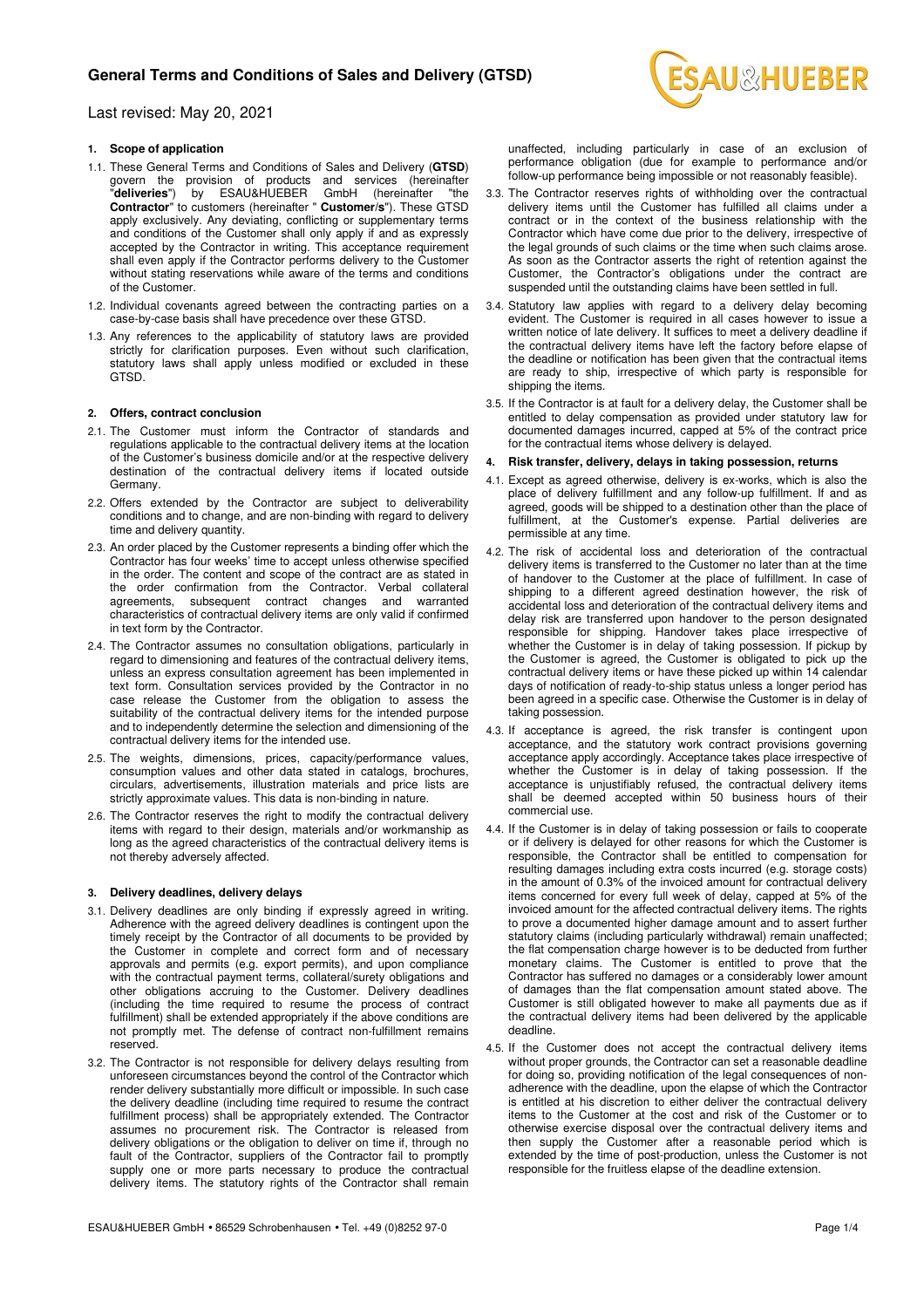

## Last revised: May 20, 2021

## **1. Scope of application**

- 1.1. These General Terms and Conditions of Sales and Delivery (**GTSD**) govern the provision of products and services (hereinafter "**deliveries**") by ESAU&HUEBER GmbH (hereinafter "the **Contractor**" to customers (hereinafter " **Customer/s**"). These GTSD apply exclusively. Any deviating, conflicting or supplementary terms and conditions of the Customer shall only apply if and as expressly accepted by the Contractor in writing. This acceptance requirement shall even apply if the Contractor performs delivery to the Customer without stating reservations while aware of the terms and conditions of the Customer.
- 1.2. Individual covenants agreed between the contracting parties on a case-by-case basis shall have precedence over these GTSD.
- 1.3. Any references to the applicability of statutory laws are provided strictly for clarification purposes. Even without such clarification, statutory laws shall apply unless modified or excluded in these GTSD.

### **2. Offers, contract conclusion**

- 2.1. The Customer must inform the Contractor of standards and regulations applicable to the contractual delivery items at the location of the Customer's business domicile and/or at the respective delivery destination of the contractual delivery items if located outside Germany.
- 2.2. Offers extended by the Contractor are subject to deliverability conditions and to change, and are non-binding with regard to delivery time and delivery quantity.
- 2.3. An order placed by the Customer represents a binding offer which the Contractor has four weeks' time to accept unless otherwise specified in the order. The content and scope of the contract are as stated in the order confirmation from the Contractor. Verbal collateral agreements, subsequent contract changes and warranted characteristics of contractual delivery items are only valid if confirmed in text form by the Contractor.
- 2.4. The Contractor assumes no consultation obligations, particularly in regard to dimensioning and features of the contractual delivery items, unless an express consultation agreement has been implemented in text form. Consultation services provided by the Contractor in no case release the Customer from the obligation to assess the suitability of the contractual delivery items for the intended purpose and to independently determine the selection and dimensioning of the contractual delivery items for the intended use.
- 2.5. The weights, dimensions, prices, capacity/performance values, consumption values and other data stated in catalogs, brochures, circulars, advertisements, illustration materials and price lists are strictly approximate values. This data is non-binding in nature.
- 2.6. The Contractor reserves the right to modify the contractual delivery items with regard to their design, materials and/or workmanship as long as the agreed characteristics of the contractual delivery items is not thereby adversely affected.

### **3. Delivery deadlines, delivery delays**

- 3.1. Delivery deadlines are only binding if expressly agreed in writing. Adherence with the agreed delivery deadlines is contingent upon the timely receipt by the Contractor of all documents to be provided by the Customer in complete and correct form and of necessary approvals and permits (e.g. export permits), and upon compliance with the contractual payment terms, collateral/surety obligations and other obligations accruing to the Customer. Delivery deadlines (including the time required to resume the process of contract fulfillment) shall be extended appropriately if the above conditions are not promptly met. The defense of contract non-fulfillment remains reserved.
- 3.2. The Contractor is not responsible for delivery delays resulting from unforeseen circumstances beyond the control of the Contractor which render delivery substantially more difficult or impossible. In such case the delivery deadline (including time required to resume the contract fulfillment process) shall be appropriately extended. The Contractor assumes no procurement risk. The Contractor is released from delivery obligations or the obligation to deliver on time if, through no fault of the Contractor, suppliers of the Contractor fail to promptly supply one or more parts necessary to produce the contractual delivery items. The statutory rights of the Contractor shall remain
- 3.3. The Contractor reserves rights of withholding over the contractual delivery items until the Customer has fulfilled all claims under a contract or in the context of the business relationship with the Contractor which have come due prior to the delivery, irrespective of the legal grounds of such claims or the time when such claims arose. As soon as the Contractor asserts the right of retention against the Customer, the Contractor's obligations under the contract are suspended until the outstanding claims have been settled in full.
- 3.4. Statutory law applies with regard to a delivery delay becoming evident. The Customer is required in all cases however to issue a written notice of late delivery. It suffices to meet a delivery deadline if the contractual delivery items have left the factory before elapse of the deadline or notification has been given that the contractual items are ready to ship, irrespective of which party is responsible for shipping the items.
- 3.5. If the Contractor is at fault for a delivery delay, the Customer shall be entitled to delay compensation as provided under statutory law for documented damages incurred, capped at 5% of the contract price for the contractual items whose delivery is delayed.
- **4. Risk transfer, delivery, delays in taking possession, returns**
- 4.1. Except as agreed otherwise, delivery is ex-works, which is also the place of delivery fulfillment and any follow-up fulfillment. If and as agreed, goods will be shipped to a destination other than the place of fulfillment, at the Customer's expense. Partial deliveries are permissible at any time.
- 4.2. The risk of accidental loss and deterioration of the contractual delivery items is transferred to the Customer no later than at the time of handover to the Customer at the place of fulfillment. In case of shipping to a different agreed destination however, the risk of accidental loss and deterioration of the contractual delivery items and delay risk are transferred upon handover to the person designated responsible for shipping. Handover takes place irrespective of whether the Customer is in delay of taking possession. If pickup by the Customer is agreed, the Customer is obligated to pick up the contractual delivery items or have these picked up within 14 calendar days of notification of ready-to-ship status unless a longer period has been agreed in a specific case. Otherwise the Customer is in delay of taking possession.
- 4.3. If acceptance is agreed, the risk transfer is contingent upon acceptance, and the statutory work contract provisions governing acceptance apply accordingly. Acceptance takes place irrespective of whether the Customer is in delay of taking possession. If the acceptance is unjustifiably refused, the contractual delivery items shall be deemed accepted within 50 business hours of their commercial use.
- 4.4. If the Customer is in delay of taking possession or fails to cooperate or if delivery is delayed for other reasons for which the Customer is responsible, the Contractor shall be entitled to compensation for resulting damages including extra costs incurred (e.g. storage costs) in the amount of 0.3% of the invoiced amount for contractual delivery items concerned for every full week of delay, capped at 5% of the invoiced amount for the affected contractual delivery items. The rights to prove a documented higher damage amount and to assert further statutory claims (including particularly withdrawal) remain unaffected; the flat compensation charge however is to be deducted from further monetary claims. The Customer is entitled to prove that the Contractor has suffered no damages or a considerably lower amount of damages than the flat compensation amount stated above. The Customer is still obligated however to make all payments due as if the contractual delivery items had been delivered by the applicable deadline.
- 4.5. If the Customer does not accept the contractual delivery items without proper grounds, the Contractor can set a reasonable deadline for doing so, providing notification of the legal consequences of nonadherence with the deadline, upon the elapse of which the Contractor is entitled at his discretion to either deliver the contractual delivery items to the Customer at the cost and risk of the Customer or to otherwise exercise disposal over the contractual delivery items and then supply the Customer after a reasonable period which is extended by the time of post-production, unless the Customer is not responsible for the fruitless elapse of the deadline extension.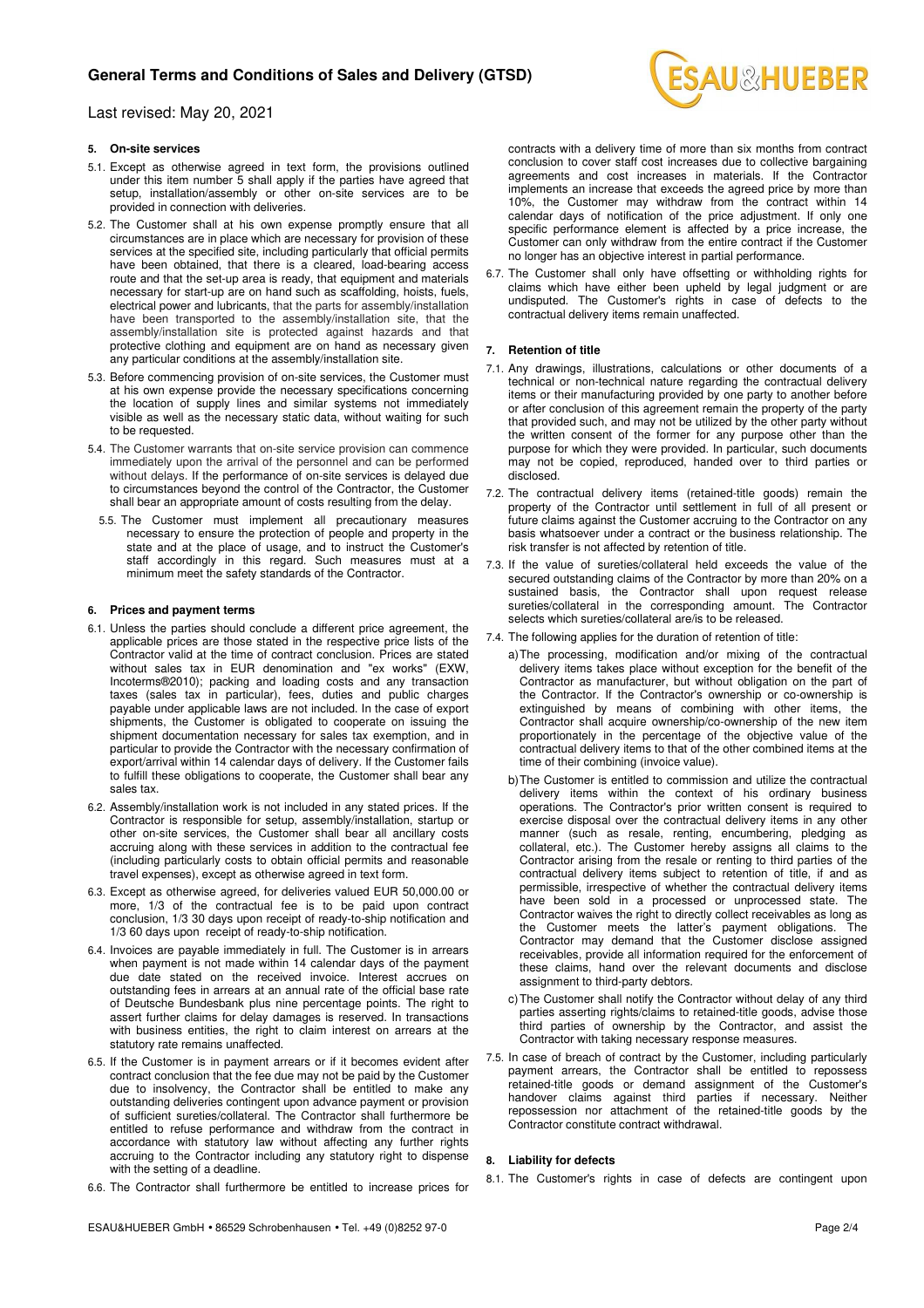# **General Terms and Conditions of Sales and Delivery (GTSD)**

Last revised: May 20, 2021

### **5. On-site services**

- 5.1. Except as otherwise agreed in text form, the provisions outlined under this item number 5 shall apply if the parties have agreed that setup, installation/assembly or other on-site services are to be provided in connection with deliveries.
- 5.2. The Customer shall at his own expense promptly ensure that all circumstances are in place which are necessary for provision of these services at the specified site, including particularly that official permits have been obtained, that there is a cleared, load-bearing access route and that the set-up area is ready, that equipment and materials necessary for start-up are on hand such as scaffolding, hoists, fuels, electrical power and lubricants, that the parts for assembly/installation have been transported to the assembly/installation site, that the assembly/installation site is protected against hazards and that protective clothing and equipment are on hand as necessary given any particular conditions at the assembly/installation site.
- 5.3. Before commencing provision of on-site services, the Customer must at his own expense provide the necessary specifications concerning the location of supply lines and similar systems not immediately visible as well as the necessary static data, without waiting for such to be requested.
- 5.4. The Customer warrants that on-site service provision can commence immediately upon the arrival of the personnel and can be performed without delays. If the performance of on-site services is delayed due to circumstances beyond the control of the Contractor, the Customer shall bear an appropriate amount of costs resulting from the delay.
	- 5.5. The Customer must implement all precautionary measures necessary to ensure the protection of people and property in the state and at the place of usage, and to instruct the Customer's staff accordingly in this regard. Such measures must at a minimum meet the safety standards of the Contractor.

#### **6. Prices and payment terms**

- 6.1. Unless the parties should conclude a different price agreement, the applicable prices are those stated in the respective price lists of the Contractor valid at the time of contract conclusion. Prices are stated without sales tax in EUR denomination and "ex works" (EXW, Incoterms®2010); packing and loading costs and any transaction taxes (sales tax in particular), fees, duties and public charges payable under applicable laws are not included. In the case of export shipments, the Customer is obligated to cooperate on issuing the shipment documentation necessary for sales tax exemption, and in particular to provide the Contractor with the necessary confirmation of export/arrival within 14 calendar days of delivery. If the Customer fails to fulfill these obligations to cooperate, the Customer shall bear any sales tax.
- 6.2. Assembly/installation work is not included in any stated prices. If the Contractor is responsible for setup, assembly/installation, startup or other on-site services, the Customer shall bear all ancillary costs accruing along with these services in addition to the contractual fee (including particularly costs to obtain official permits and reasonable travel expenses), except as otherwise agreed in text form.
- 6.3. Except as otherwise agreed, for deliveries valued EUR 50,000.00 or more, 1/3 of the contractual fee is to be paid upon contract conclusion, 1/3 30 days upon receipt of ready-to-ship notification and 1/3 60 days upon receipt of ready-to-ship notification.
- 6.4. Invoices are payable immediately in full. The Customer is in arrears when payment is not made within 14 calendar days of the payment due date stated on the received invoice. Interest accrues on outstanding fees in arrears at an annual rate of the official base rate of Deutsche Bundesbank plus nine percentage points. The right to assert further claims for delay damages is reserved. In transactions with business entities, the right to claim interest on arrears at the statutory rate remains unaffected.
- 6.5. If the Customer is in payment arrears or if it becomes evident after contract conclusion that the fee due may not be paid by the Customer due to insolvency, the Contractor shall be entitled to make any outstanding deliveries contingent upon advance payment or provision of sufficient sureties/collateral. The Contractor shall furthermore be entitled to refuse performance and withdraw from the contract in accordance with statutory law without affecting any further rights accruing to the Contractor including any statutory right to dispense with the setting of a deadline.
- 6.6. The Contractor shall furthermore be entitled to increase prices for



contracts with a delivery time of more than six months from contract conclusion to cover staff cost increases due to collective bargaining agreements and cost increases in materials. If the Contractor implements an increase that exceeds the agreed price by more than 10%, the Customer may withdraw from the contract within 14 calendar days of notification of the price adjustment. If only one specific performance element is affected by a price increase, the Customer can only withdraw from the entire contract if the Customer no longer has an objective interest in partial performance.

6.7. The Customer shall only have offsetting or withholding rights for claims which have either been upheld by legal judgment or are undisputed. The Customer's rights in case of defects to the contractual delivery items remain unaffected.

#### **7. Retention of title**

- 7.1. Any drawings, illustrations, calculations or other documents of a technical or non-technical nature regarding the contractual delivery items or their manufacturing provided by one party to another before or after conclusion of this agreement remain the property of the party that provided such, and may not be utilized by the other party without the written consent of the former for any purpose other than the purpose for which they were provided. In particular, such documents may not be copied, reproduced, handed over to third parties or disclosed.
- 7.2. The contractual delivery items (retained-title goods) remain the property of the Contractor until settlement in full of all present or future claims against the Customer accruing to the Contractor on any basis whatsoever under a contract or the business relationship. The risk transfer is not affected by retention of title.
- 7.3. If the value of sureties/collateral held exceeds the value of the secured outstanding claims of the Contractor by more than 20% on a sustained basis, the Contractor shall upon request release sureties/collateral in the corresponding amount. The Contractor selects which sureties/collateral are/is to be released.
- 7.4. The following applies for the duration of retention of title:
	- a) The processing, modification and/or mixing of the contractual delivery items takes place without exception for the benefit of the Contractor as manufacturer, but without obligation on the part of the Contractor. If the Contractor's ownership or co-ownership is extinguished by means of combining with other items, the Contractor shall acquire ownership/co-ownership of the new item proportionately in the percentage of the objective value of the contractual delivery items to that of the other combined items at the time of their combining (invoice value).
	- b) The Customer is entitled to commission and utilize the contractual delivery items within the context of his ordinary business operations. The Contractor's prior written consent is required to exercise disposal over the contractual delivery items in any other manner (such as resale, renting, encumbering, pledging as collateral, etc.). The Customer hereby assigns all claims to the Contractor arising from the resale or renting to third parties of the contractual delivery items subject to retention of title, if and as permissible, irrespective of whether the contractual delivery items have been sold in a processed or unprocessed state. The Contractor waives the right to directly collect receivables as long as the Customer meets the latter's payment obligations. The Contractor may demand that the Customer disclose assigned receivables, provide all information required for the enforcement of these claims, hand over the relevant documents and disclose assignment to third-party debtors.
	- c) The Customer shall notify the Contractor without delay of any third parties asserting rights/claims to retained-title goods, advise those third parties of ownership by the Contractor, and assist the Contractor with taking necessary response measures.
- 7.5. In case of breach of contract by the Customer, including particularly payment arrears, the Contractor shall be entitled to repossess retained-title goods or demand assignment of the Customer's handover claims against third parties if necessary. Neither repossession nor attachment of the retained-title goods by the Contractor constitute contract withdrawal.

### **8. Liability for defects**

8.1. The Customer's rights in case of defects are contingent upon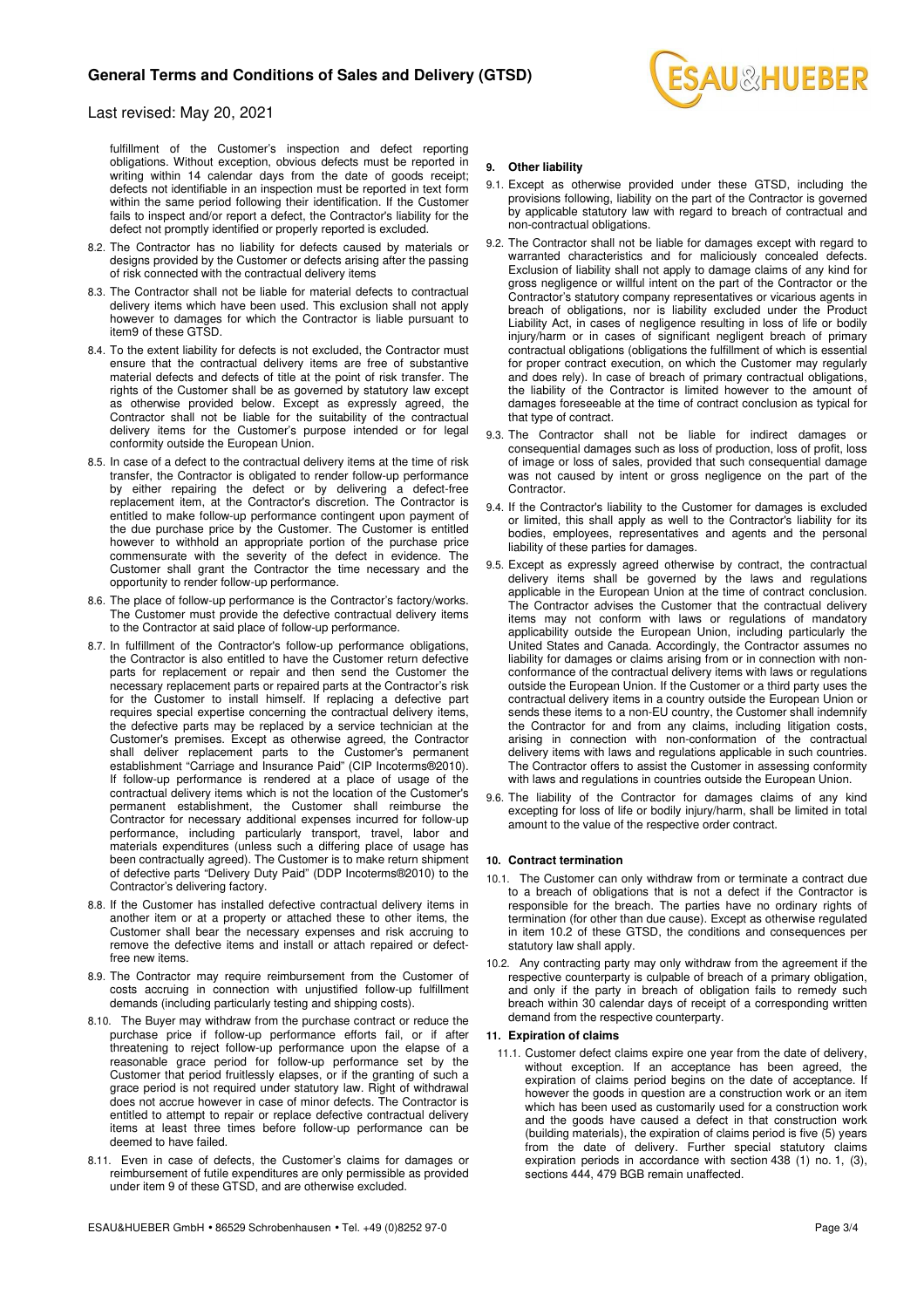

## Last revised: May 20, 2021

fulfillment of the Customer's inspection and defect reporting obligations. Without exception, obvious defects must be reported in writing within 14 calendar days from the date of goods receipt; defects not identifiable in an inspection must be reported in text form within the same period following their identification. If the Customer fails to inspect and/or report a defect, the Contractor's liability for the defect not promptly identified or properly reported is excluded.

- 8.2. The Contractor has no liability for defects caused by materials or designs provided by the Customer or defects arising after the passing of risk connected with the contractual delivery items
- 8.3. The Contractor shall not be liable for material defects to contractual delivery items which have been used. This exclusion shall not apply however to damages for which the Contractor is liable pursuant to item9 of these GTSD.
- 8.4. To the extent liability for defects is not excluded, the Contractor must ensure that the contractual delivery items are free of substantive material defects and defects of title at the point of risk transfer. The rights of the Customer shall be as governed by statutory law except as otherwise provided below. Except as expressly agreed, the Contractor shall not be liable for the suitability of the contractual delivery items for the Customer's purpose intended or for legal conformity outside the European Union.
- 8.5. In case of a defect to the contractual delivery items at the time of risk transfer, the Contractor is obligated to render follow-up performance by either repairing the defect or by delivering a defect-free replacement item, at the Contractor's discretion. The Contractor is entitled to make follow-up performance contingent upon payment of the due purchase price by the Customer. The Customer is entitled however to withhold an appropriate portion of the purchase price commensurate with the severity of the defect in evidence. The Customer shall grant the Contractor the time necessary and the opportunity to render follow-up performance.
- 8.6. The place of follow-up performance is the Contractor's factory/works. The Customer must provide the defective contractual delivery items to the Contractor at said place of follow-up performance.
- 8.7. In fulfillment of the Contractor's follow-up performance obligations, the Contractor is also entitled to have the Customer return defective parts for replacement or repair and then send the Customer the necessary replacement parts or repaired parts at the Contractor's risk for the Customer to install himself. If replacing a defective part requires special expertise concerning the contractual delivery items, the defective parts may be replaced by a service technician at the Customer's premises. Except as otherwise agreed, the Contractor shall deliver replacement parts to the Customer's permanent establishment "Carriage and Insurance Paid" (CIP Incoterms®2010). If follow-up performance is rendered at a place of usage of the contractual delivery items which is not the location of the Customer's permanent establishment, the Customer shall reimburse the Contractor for necessary additional expenses incurred for follow-up performance, including particularly transport, travel, labor and materials expenditures (unless such a differing place of usage has been contractually agreed). The Customer is to make return shipment of defective parts "Delivery Duty Paid" (DDP Incoterms®2010) to the Contractor's delivering factory.
- 8.8. If the Customer has installed defective contractual delivery items in another item or at a property or attached these to other items, the Customer shall bear the necessary expenses and risk accruing to remove the defective items and install or attach repaired or defectfree new items.
- 8.9. The Contractor may require reimbursement from the Customer of costs accruing in connection with unjustified follow-up fulfillment demands (including particularly testing and shipping costs).
- 8.10. The Buyer may withdraw from the purchase contract or reduce the purchase price if follow-up performance efforts fail, or if after threatening to reject follow-up performance upon the elapse of a reasonable grace period for follow-up performance set by the Customer that period fruitlessly elapses, or if the granting of such a grace period is not required under statutory law. Right of withdrawal does not accrue however in case of minor defects. The Contractor is entitled to attempt to repair or replace defective contractual delivery items at least three times before follow-up performance can be deemed to have failed.
- 8.11. Even in case of defects, the Customer's claims for damages or reimbursement of futile expenditures are only permissible as provided under item 9 of these GTSD, and are otherwise excluded.
- 9.1. Except as otherwise provided under these GTSD, including the provisions following, liability on the part of the Contractor is governed by applicable statutory law with regard to breach of contractual and non-contractual obligations.
- 9.2. The Contractor shall not be liable for damages except with regard to warranted characteristics and for maliciously concealed defects. Exclusion of liability shall not apply to damage claims of any kind for gross negligence or willful intent on the part of the Contractor or the Contractor's statutory company representatives or vicarious agents in breach of obligations, nor is liability excluded under the Product Liability Act, in cases of negligence resulting in loss of life or bodily injury/harm or in cases of significant negligent breach of primary contractual obligations (obligations the fulfillment of which is essential for proper contract execution, on which the Customer may regularly and does rely). In case of breach of primary contractual obligations, the liability of the Contractor is limited however to the amount of damages foreseeable at the time of contract conclusion as typical for that type of contract.
- 9.3. The Contractor shall not be liable for indirect damages or consequential damages such as loss of production, loss of profit, loss of image or loss of sales, provided that such consequential damage was not caused by intent or gross negligence on the part of the Contractor.
- 9.4. If the Contractor's liability to the Customer for damages is excluded or limited, this shall apply as well to the Contractor's liability for its bodies, employees, representatives and agents and the personal liability of these parties for damages.
- 9.5. Except as expressly agreed otherwise by contract, the contractual delivery items shall be governed by the laws and regulations applicable in the European Union at the time of contract conclusion. The Contractor advises the Customer that the contractual delivery items may not conform with laws or regulations of mandatory applicability outside the European Union, including particularly the United States and Canada. Accordingly, the Contractor assumes no liability for damages or claims arising from or in connection with nonconformance of the contractual delivery items with laws or regulations outside the European Union. If the Customer or a third party uses the contractual delivery items in a country outside the European Union or sends these items to a non-EU country, the Customer shall indemnify the Contractor for and from any claims, including litigation costs, arising in connection with non-conformation of the contractual delivery items with laws and regulations applicable in such countries. The Contractor offers to assist the Customer in assessing conformity with laws and regulations in countries outside the European Union.
- 9.6. The liability of the Contractor for damages claims of any kind excepting for loss of life or bodily injury/harm, shall be limited in total amount to the value of the respective order contract.

#### **10. Contract termination**

- 10.1. The Customer can only withdraw from or terminate a contract due to a breach of obligations that is not a defect if the Contractor is responsible for the breach. The parties have no ordinary rights of termination (for other than due cause). Except as otherwise regulated in item 10.2 of these GTSD, the conditions and consequences per statutory law shall apply.
- 10.2. Any contracting party may only withdraw from the agreement if the respective counterparty is culpable of breach of a primary obligation, and only if the party in breach of obligation fails to remedy such breach within 30 calendar days of receipt of a corresponding written demand from the respective counterparty.

## **11. Expiration of claims**

11.1. Customer defect claims expire one year from the date of delivery, without exception. If an acceptance has been agreed, the expiration of claims period begins on the date of acceptance. If however the goods in question are a construction work or an item which has been used as customarily used for a construction work and the goods have caused a defect in that construction work (building materials), the expiration of claims period is five (5) years from the date of delivery. Further special statutory claims expiration periods in accordance with section 438 (1) no. 1, (3), sections 444, 479 BGB remain unaffected.